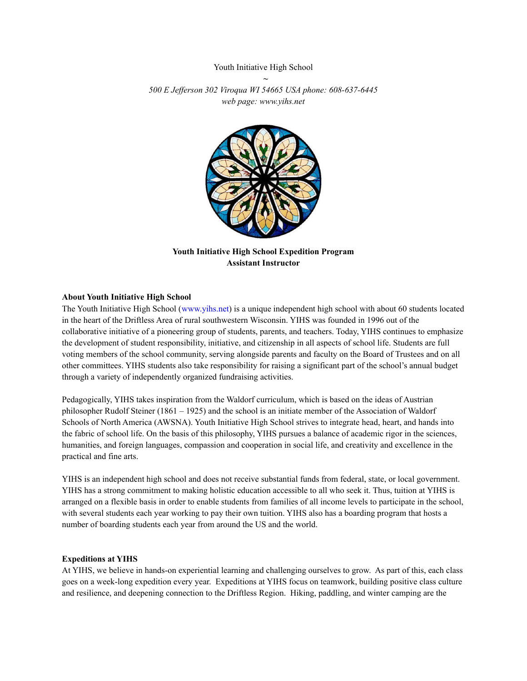# Youth Initiative High School *~*

*500 E Jef erson 302 Viroqua WI 54665 USA phone: 608-637-6445 web page: www.yihs.net*



**Youth Initiative High School Expedition Program Assistant Instructor**

#### **About Youth Initiative High School**

The Youth Initiative High School (www.yihs.net) is a unique independent high school with about 60 students located in the heart of the Driftless Area of rural southwestern Wisconsin. YIHS was founded in 1996 out of the collaborative initiative of a pioneering group of students, parents, and teachers. Today, YIHS continues to emphasize the development of student responsibility, initiative, and citizenship in all aspects of school life. Students are full voting members of the school community, serving alongside parents and faculty on the Board of Trustees and on all other committees. YIHS students also take responsibility for raising a significant part of the school's annual budget through a variety of independently organized fundraising activities.

Pedagogically, YIHS takes inspiration from the Waldorf curriculum, which is based on the ideas of Austrian philosopher Rudolf Steiner (1861 – 1925) and the school is an initiate member of the Association of Waldorf Schools of North America (AWSNA). Youth Initiative High School strives to integrate head, heart, and hands into the fabric of school life. On the basis of this philosophy, YIHS pursues a balance of academic rigor in the sciences, humanities, and foreign languages, compassion and cooperation in social life, and creativity and excellence in the practical and fine arts.

YIHS is an independent high school and does not receive substantial funds from federal, state, or local government. YIHS has a strong commitment to making holistic education accessible to all who seek it. Thus, tuition at YIHS is arranged on a flexible basis in order to enable students from families of all income levels to participate in the school, with several students each year working to pay their own tuition. YIHS also has a boarding program that hosts a number of boarding students each year from around the US and the world.

#### **Expeditions at YIHS**

At YIHS, we believe in hands-on experiential learning and challenging ourselves to grow. As part of this, each class goes on a week-long expedition every year. Expeditions at YIHS focus on teamwork, building positive class culture and resilience, and deepening connection to the Driftless Region. Hiking, paddling, and winter camping are the